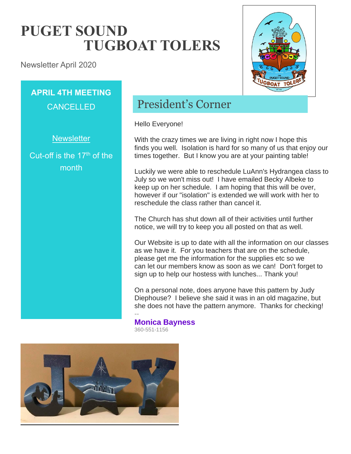# **PUGET SOUND TUGBOAT TOLERS**

Newsletter April 2020

## **APRIL 4TH MEETING CANCELLED**

**Newsletter** 

Cut-off is the 17<sup>th</sup> of the month

## President's Corner

Hello Everyone!

With the crazy times we are living in right now I hope this finds you well. Isolation is hard for so many of us that enjoy our times together. But I know you are at your painting table!

Luckily we were able to reschedule LuAnn's Hydrangea class to July so we won't miss out! I have emailed Becky Albeke to keep up on her schedule. I am hoping that this will be over, however if our "isolation" is extended we will work with her to reschedule the class rather than cancel it.

The Church has shut down all of their activities until further notice, we will try to keep you all posted on that as well.

Our Website is up to date with all the information on our classes as we have it. For you teachers that are on the schedule, please get me the information for the supplies etc so we can let our members know as soon as we can! Don't forget to sign up to help our hostess with lunches... Thank you!

On a personal note, does anyone have this pattern by Judy Diephouse? I believe she said it was in an old magazine, but she does not have the pattern anymore. Thanks for checking!

**Monica Bayness** 360-551-1156

--

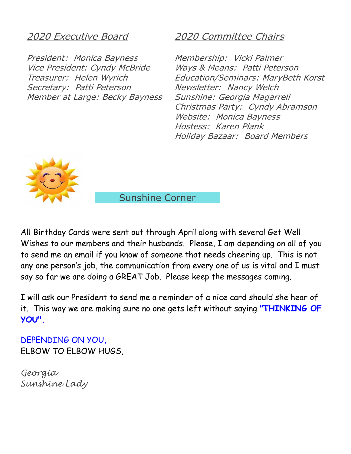#### 2020 Executive Board

President: Monica Bayness Vice President: Cyndy McBride Treasurer: Helen Wyrich Secretary: Patti Peterson Member at Large: Becky Bayness

#### 2020 Committee Chairs

Membership: Vicki Palmer Ways & Means: Patti Peterson Education/Seminars: MaryBeth Korst Newsletter: Nancy Welch Sunshine: Georgia Magarrell Christmas Party: Cyndy Abramson Website: Monica Bayness Hostess: Karen Plank Holiday Bazaar: Board Members



Sunshine Corner

All Birthday Cards were sent out through April along with several Get Well Wishes to our members and their husbands. Please, I am depending on all of you to send me an email if you know of someone that needs cheering up. This is not any one person's job, the communication from every one of us is vital and I must say so far we are doing a GREAT Job. Please keep the messages coming.

I will ask our President to send me a reminder of a nice card should she hear of it. This way we are making sure no one gets left without saying **"THINKING OF YOU".** 

DEPENDING ON YOU, ELBOW TO ELBOW HUGS,

*Georgia Sunshine Lady*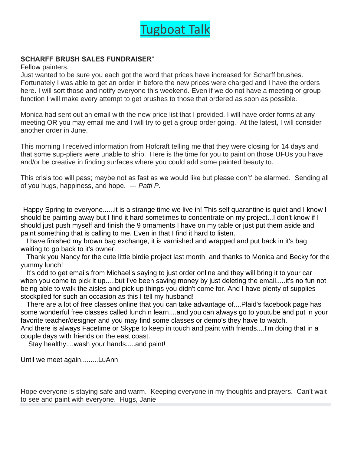

#### **SCHARFF BRUSH SALES FUNDRAISER**"

Fellow painters,

Just wanted to be sure you each got the word that prices have increased for Scharff brushes. Fortunately I was able to get an order in before the new prices were charged and I have the orders here. I will sort those and notify everyone this weekend. Even if we do not have a meeting or group function I will make every attempt to get brushes to those that ordered as soon as possible.

Monica had sent out an email with the new price list that I provided. I will have order forms at any meeting OR you may email me and I will try to get a group order going. At the latest, I will consider another order in June.

This morning I received information from Hofcraft telling me that they were closing for 14 days and that some sup-pliers were unable to ship. Here is the time for you to paint on those UFUs you have and/or be creative in finding surfaces where you could add some painted beauty to.

This crisis too will pass; maybe not as fast as we would like but please don't' be alarmed. Sending all of you hugs, happiness, and hope. --- *Patti P.*

Happy Spring to everyone......it is a strange time we live in! This self quarantine is quiet and I know I should be painting away but I find it hard sometimes to concentrate on my project...I don't know if I should just push myself and finish the 9 ornaments I have on my table or just put them aside and paint something that is calling to me. Even in that I find it hard to listen.

I have finished my brown bag exchange, it is varnished and wrapped and put back in it's bag waiting to go back to it's owner.

Thank you Nancy for the cute little birdie project last month, and thanks to Monica and Becky for the yummy lunch!

It's odd to get emails from Michael's saying to just order online and they will bring it to your car when you come to pick it up.....but I've been saving money by just deleting the email.....it's no fun not being able to walk the aisles and pick up things you didn't come for. And I have plenty of supplies stockpiled for such an occasion as this I tell my husband!

There are a lot of free classes online that you can take advantage of....Plaid's facebook page has some wonderful free classes called lunch n learn....and you can always go to youtube and put in your favorite teacher/designer and you may find some classes or demo's they have to watch. And there is always Facetime or Skype to keep in touch and paint with friends....I'm doing that in a couple days with friends on the east coast.

Stay healthy....wash your hands.....and paint!

Until we meet again.........LuAnn

Hope everyone is staying safe and warm. Keeping everyone in my thoughts and prayers. Can't wait to see and paint with everyone. Hugs, Janie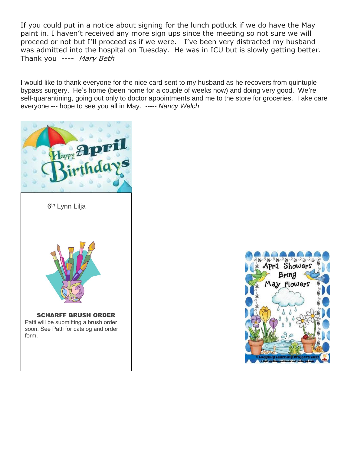If you could put in a notice about signing for the lunch potluck if we do have the May paint in. I haven't received any more sign ups since the meeting so not sure we will proceed or not but I'll proceed as if we were. I've been very distracted my husband was admitted into the hospital on Tuesday. He was in ICU but is slowly getting better. Thank you ---- Mary Beth

I would like to thank everyone for the nice card sent to my husband as he recovers from quintuple bypass surgery. He's home (been home for a couple of weeks now) and doing very good. We're self-quarantining, going out only to doctor appointments and me to the store for groceries. Take care everyone --- hope to see you all in May. ----- *Nancy Welch*



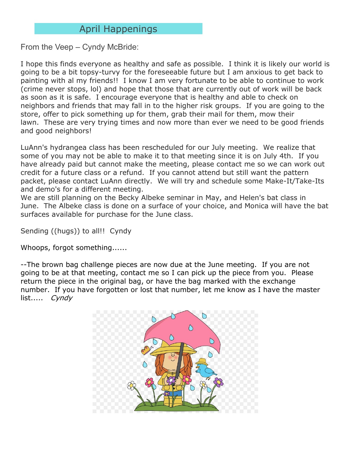### April Happenings

From the Veep – Cyndy McBride:

I hope this finds everyone as healthy and safe as possible. I think it is likely our world is going to be a bit topsy-turvy for the foreseeable future but I am anxious to get back to painting with al my friends!! I know I am very fortunate to be able to continue to work (crime never stops, lol) and hope that those that are currently out of work will be back as soon as it is safe. I encourage everyone that is healthy and able to check on neighbors and friends that may fall in to the higher risk groups. If you are going to the store, offer to pick something up for them, grab their mail for them, mow their lawn. These are very trying times and now more than ever we need to be good friends and good neighbors!

LuAnn's hydrangea class has been rescheduled for our July meeting. We realize that some of you may not be able to make it to that meeting since it is on July 4th. If you have already paid but cannot make the meeting, please contact me so we can work out credit for a future class or a refund. If you cannot attend but still want the pattern packet, please contact LuAnn directly. We will try and schedule some Make-It/Take-Its and demo's for a different meeting.

We are still planning on the Becky Albeke seminar in May, and Helen's bat class in June. The Albeke class is done on a surface of your choice, and Monica will have the bat surfaces available for purchase for the June class.

Sending ((hugs)) to all!! Cyndy

Whoops, forgot something......

--The brown bag challenge pieces are now due at the June meeting. If you are not going to be at that meeting, contact me so I can pick up the piece from you. Please return the piece in the original bag, or have the bag marked with the exchange number. If you have forgotten or lost that number, let me know as I have the master list..... Cyndy

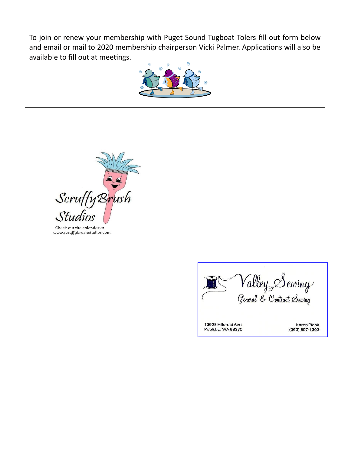To join or renew your membership with Puget Sound Tugboat Tolers fill out form below and email or mail to 2020 membership chairperson Vicki Palmer. Applications will also be available to fill out at meetings.





Check out the calendar at www.scruffybrushstudios.com

Valley Sewing<br><sub>General</sub> & Contract Sewing 13928 Hillcrest Ave. Karen Plank Poulsbo, WA 98370 (360) 697-1303